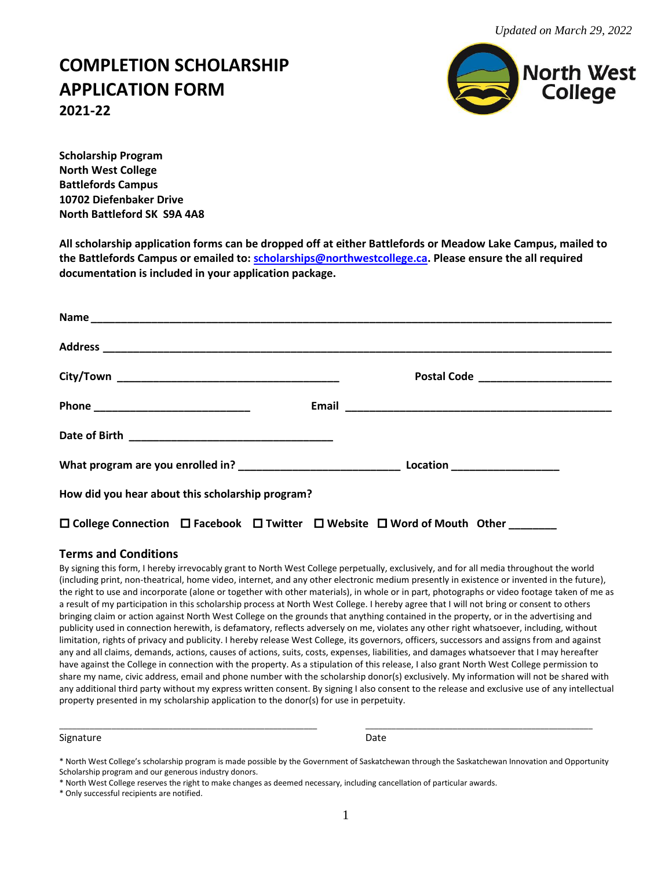## **COMPLETION SCHOLARSHIP APPLICATION FORM 2021-22**



**Scholarship Program North West College Battlefords Campus 10702 Diefenbaker Drive North Battleford SK S9A 4A8**

**All scholarship application forms can be dropped off at either Battlefords or Meadow Lake Campus, mailed to the Battlefords Campus or emailed to: [scholarships@northwestcollege.ca.](mailto:scholarships@northwestcollege.ca) Please ensure the all required documentation is included in your application package.**

| How did you hear about this scholarship program?                                                                  |  |
|-------------------------------------------------------------------------------------------------------------------|--|
| $\square$ College Connection $\square$ Facebook $\square$ Twitter $\square$ Website $\square$ Word of Mouth Other |  |

### **Terms and Conditions**

By signing this form, I hereby irrevocably grant to North West College perpetually, exclusively, and for all media throughout the world (including print, non-theatrical, home video, internet, and any other electronic medium presently in existence or invented in the future), the right to use and incorporate (alone or together with other materials), in whole or in part, photographs or video footage taken of me as a result of my participation in this scholarship process at North West College. I hereby agree that I will not bring or consent to others bringing claim or action against North West College on the grounds that anything contained in the property, or in the advertising and publicity used in connection herewith, is defamatory, reflects adversely on me, violates any other right whatsoever, including, without limitation, rights of privacy and publicity. I hereby release West College, its governors, officers, successors and assigns from and against any and all claims, demands, actions, causes of actions, suits, costs, expenses, liabilities, and damages whatsoever that I may hereafter have against the College in connection with the property. As a stipulation of this release, I also grant North West College permission to share my name, civic address, email and phone number with the scholarship donor(s) exclusively. My information will not be shared with any additional third party without my express written consent. By signing I also consent to the release and exclusive use of any intellectual property presented in my scholarship application to the donor(s) for use in perpetuity.

#### Signature Date Date Communications and Date Date Date

\_\_\_\_\_\_\_\_\_\_\_\_\_\_\_\_\_\_\_\_\_\_\_\_\_\_\_\_\_\_\_\_\_\_\_\_\_\_\_\_\_\_\_\_\_\_\_\_\_\_\_\_\_\_\_\_\_\_\_ \_\_\_\_\_\_\_\_\_\_\_\_\_\_\_\_\_\_\_\_\_\_\_\_\_\_\_\_\_\_\_\_\_\_\_\_\_\_\_\_\_\_\_\_\_\_\_\_\_\_\_\_

<sup>\*</sup> North West College's scholarship program is made possible by the Government of Saskatchewan through the Saskatchewan Innovation and Opportunity Scholarship program and our generous industry donors.

<sup>\*</sup> North West College reserves the right to make changes as deemed necessary, including cancellation of particular awards.

<sup>\*</sup> Only successful recipients are notified.